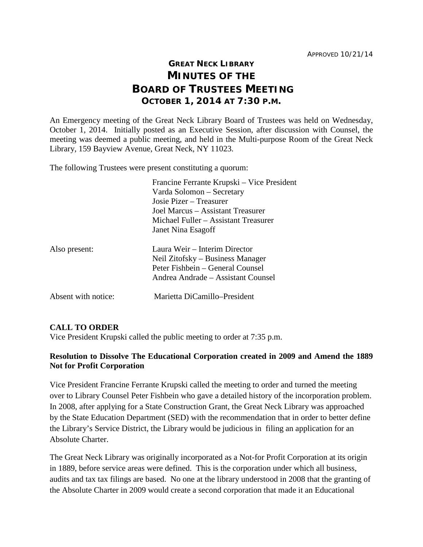## **GREAT NECK LIBRARY MINUTES OF THE BOARD OF TRUSTEES MEETING OCTOBER 1, 2014 AT 7:30 P.M.**

An Emergency meeting of the Great Neck Library Board of Trustees was held on Wednesday, October 1, 2014. Initially posted as an Executive Session, after discussion with Counsel, the meeting was deemed a public meeting, and held in the Multi-purpose Room of the Great Neck Library, 159 Bayview Avenue, Great Neck, NY 11023.

The following Trustees were present constituting a quorum:

|                     | Francine Ferrante Krupski – Vice President |
|---------------------|--------------------------------------------|
|                     | Varda Solomon – Secretary                  |
|                     | Josie Pizer – Treasurer                    |
|                     | Joel Marcus – Assistant Treasurer          |
|                     | Michael Fuller - Assistant Treasurer       |
|                     | Janet Nina Esagoff                         |
| Also present:       | Laura Weir – Interim Director              |
|                     | Neil Zitofsky – Business Manager           |
|                     | Peter Fishbein – General Counsel           |
|                     | Andrea Andrade - Assistant Counsel         |
| Absent with notice: | Marietta DiCamillo–President               |

## **CALL TO ORDER**

Vice President Krupski called the public meeting to order at 7:35 p.m.

## **Resolution to Dissolve The Educational Corporation created in 2009 and Amend the 1889 Not for Profit Corporation**

Vice President Francine Ferrante Krupski called the meeting to order and turned the meeting over to Library Counsel Peter Fishbein who gave a detailed history of the incorporation problem. In 2008, after applying for a State Construction Grant, the Great Neck Library was approached by the State Education Department (SED) with the recommendation that in order to better define the Library's Service District, the Library would be judicious in filing an application for an Absolute Charter.

The Great Neck Library was originally incorporated as a Not-for Profit Corporation at its origin in 1889, before service areas were defined. This is the corporation under which all business, audits and tax tax filings are based. No one at the library understood in 2008 that the granting of the Absolute Charter in 2009 would create a second corporation that made it an Educational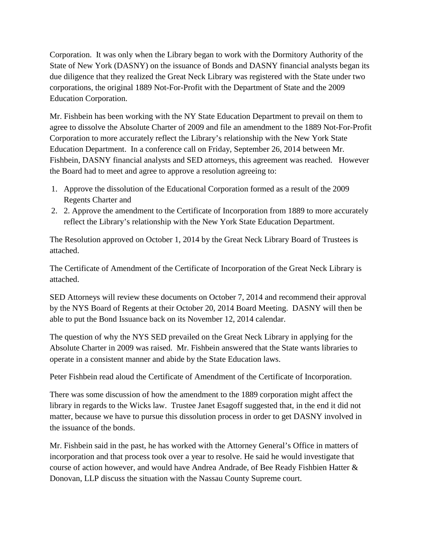Corporation. It was only when the Library began to work with the Dormitory Authority of the State of New York (DASNY) on the issuance of Bonds and DASNY financial analysts began its due diligence that they realized the Great Neck Library was registered with the State under two corporations, the original 1889 Not-For-Profit with the Department of State and the 2009 Education Corporation.

Mr. Fishbein has been working with the NY State Education Department to prevail on them to agree to dissolve the Absolute Charter of 2009 and file an amendment to the 1889 Not-For-Profit Corporation to more accurately reflect the Library's relationship with the New York State Education Department. In a conference call on Friday, September 26, 2014 between Mr. Fishbein, DASNY financial analysts and SED attorneys, this agreement was reached. However the Board had to meet and agree to approve a resolution agreeing to:

- 1. Approve the dissolution of the Educational Corporation formed as a result of the 2009 Regents Charter and
- 2. 2. Approve the amendment to the Certificate of Incorporation from 1889 to more accurately reflect the Library's relationship with the New York State Education Department.

The Resolution approved on October 1, 2014 by the Great Neck Library Board of Trustees is attached.

The Certificate of Amendment of the Certificate of Incorporation of the Great Neck Library is attached.

SED Attorneys will review these documents on October 7, 2014 and recommend their approval by the NYS Board of Regents at their October 20, 2014 Board Meeting. DASNY will then be able to put the Bond Issuance back on its November 12, 2014 calendar.

The question of why the NYS SED prevailed on the Great Neck Library in applying for the Absolute Charter in 2009 was raised. Mr. Fishbein answered that the State wants libraries to operate in a consistent manner and abide by the State Education laws.

Peter Fishbein read aloud the Certificate of Amendment of the Certificate of Incorporation.

There was some discussion of how the amendment to the 1889 corporation might affect the library in regards to the Wicks law. Trustee Janet Esagoff suggested that, in the end it did not matter, because we have to pursue this dissolution process in order to get DASNY involved in the issuance of the bonds.

Mr. Fishbein said in the past, he has worked with the Attorney General's Office in matters of incorporation and that process took over a year to resolve. He said he would investigate that course of action however, and would have Andrea Andrade, of Bee Ready Fishbien Hatter & Donovan, LLP discuss the situation with the Nassau County Supreme court.